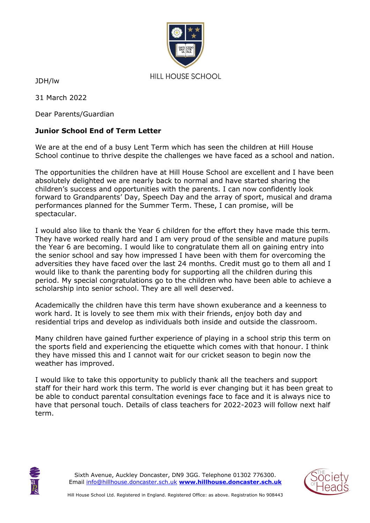

JDH/lw

31 March 2022

Dear Parents/Guardian

## **Junior School End of Term Letter**

We are at the end of a busy Lent Term which has seen the children at Hill House School continue to thrive despite the challenges we have faced as a school and nation.

The opportunities the children have at Hill House School are excellent and I have been absolutely delighted we are nearly back to normal and have started sharing the children's success and opportunities with the parents. I can now confidently look forward to Grandparents' Day, Speech Day and the array of sport, musical and drama performances planned for the Summer Term. These, I can promise, will be spectacular.

I would also like to thank the Year 6 children for the effort they have made this term. They have worked really hard and I am very proud of the sensible and mature pupils the Year 6 are becoming. I would like to congratulate them all on gaining entry into the senior school and say how impressed I have been with them for overcoming the adversities they have faced over the last 24 months. Credit must go to them all and I would like to thank the parenting body for supporting all the children during this period. My special congratulations go to the children who have been able to achieve a scholarship into senior school. They are all well deserved.

Academically the children have this term have shown exuberance and a keenness to work hard. It is lovely to see them mix with their friends, enjoy both day and residential trips and develop as individuals both inside and outside the classroom.

Many children have gained further experience of playing in a school strip this term on the sports field and experiencing the etiquette which comes with that honour. I think they have missed this and I cannot wait for our cricket season to begin now the weather has improved.

I would like to take this opportunity to publicly thank all the teachers and support staff for their hard work this term. The world is ever changing but it has been great to be able to conduct parental consultation evenings face to face and it is always nice to have that personal touch. Details of class teachers for 2022-2023 will follow next half term.